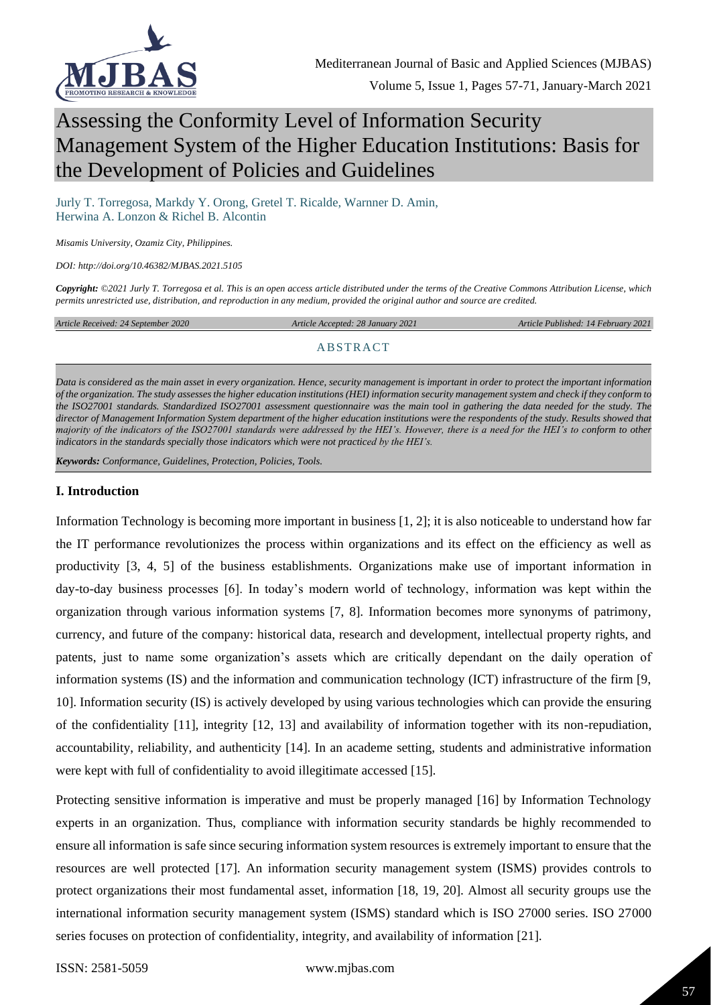

# Assessing the Conformity Level of Information Security Management System of the Higher Education Institutions: Basis for the Development of Policies and Guidelines

Jurly T. Torregosa, Markdy Y. Orong, Gretel T. Ricalde, Warnner D. Amin, Herwina A. Lonzon & Richel B. Alcontin

*Misamis University, Ozamiz City, Philippines.*

*DOI: http://doi.org/10.46382/MJBAS.2021.5105*

*Copyright: ©2021 Jurly T. Torregosa et al. This is an open access article distributed under the terms of the [Creative Commons Attribution License,](https://creativecommons.org/licenses/by-sa/4.0/) which permits unrestricted use, distribution, and reproduction in any medium, provided the original author and source are credited.* 

*Article Received: 24 September 2020 Article Accepted: 28 January 2021 Article Published: 14 February 2021*

#### ABSTRACT

*Data is considered as the main asset in every organization. Hence, security management is important in order to protect the important information of the organization. The study assesses the higher education institutions (HEI) information security management system and check if they conform to the ISO27001 standards. Standardized ISO27001 assessment questionnaire was the main tool in gathering the data needed for the study. The director of Management Information System department of the higher education institutions were the respondents of the study. Results showed that majority of the indicators of the ISO27001 standards were addressed by the HEI's. However, there is a need for the HEI's to conform to other indicators in the standards specially those indicators which were not practiced by the HEI's.*

*Keywords: Conformance, Guidelines, Protection, Policies, Tools.*

#### **I. Introduction**

Information Technology is becoming more important in business [1, 2]; it is also noticeable to understand how far the IT performance revolutionizes the process within organizations and its effect on the efficiency as well as productivity [3, 4, 5] of the business establishments. Organizations make use of important information in day-to-day business processes [6]. In today's modern world of technology, information was kept within the organization through various information systems [7, 8]. Information becomes more synonyms of patrimony, currency, and future of the company: historical data, research and development, intellectual property rights, and patents, just to name some organization's assets which are critically dependant on the daily operation of information systems (IS) and the information and communication technology (ICT) infrastructure of the firm [9, 10]. Information security (IS) is actively developed by using various technologies which can provide the ensuring of the confidentiality [11], integrity [12, 13] and availability of information together with its non-repudiation, accountability, reliability, and authenticity [14]. In an academe setting, students and administrative information were kept with full of confidentiality to avoid illegitimate accessed [15].

Protecting sensitive information is imperative and must be properly managed [16] by Information Technology experts in an organization. Thus, compliance with information security standards be highly recommended to ensure all information is safe since securing information system resources is extremely important to ensure that the resources are well protected [17]. An information security management system (ISMS) provides controls to protect organizations their most fundamental asset, information [18, 19, 20]. Almost all security groups use the international information security management system (ISMS) standard which is ISO 27000 series. ISO 27000 series focuses on protection of confidentiality, integrity, and availability of information [21].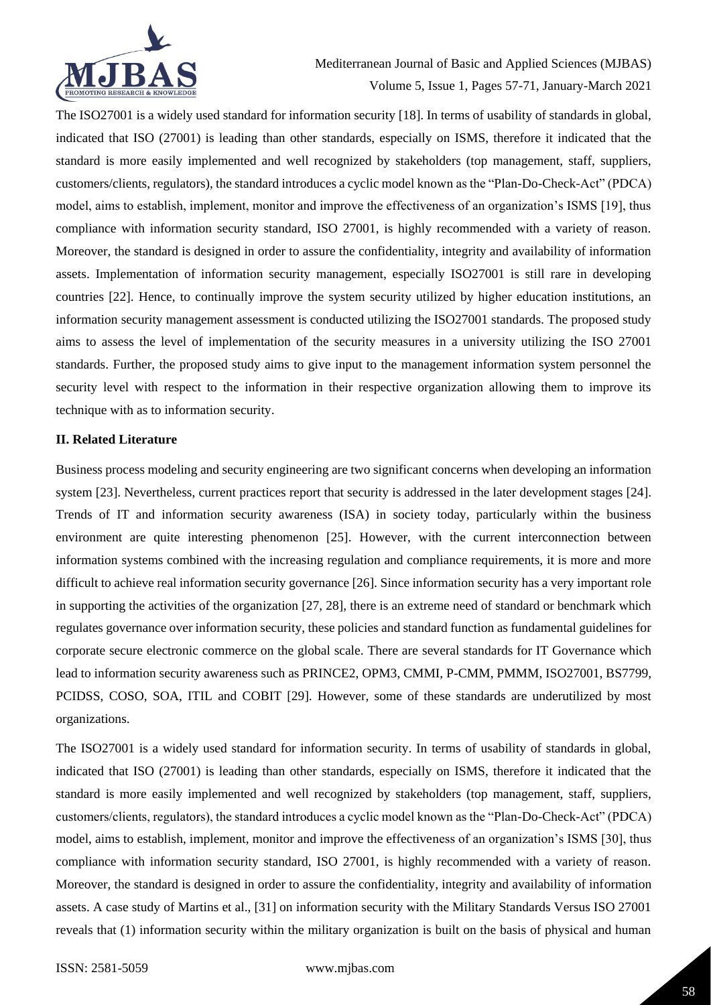

The ISO27001 is a widely used standard for information security [18]. In terms of usability of standards in global, indicated that ISO (27001) is leading than other standards, especially on ISMS, therefore it indicated that the standard is more easily implemented and well recognized by stakeholders (top management, staff, suppliers, customers/clients, regulators), the standard introduces a cyclic model known as the "Plan-Do-Check-Act" (PDCA) model, aims to establish, implement, monitor and improve the effectiveness of an organization's ISMS [19], thus compliance with information security standard, ISO 27001, is highly recommended with a variety of reason. Moreover, the standard is designed in order to assure the confidentiality, integrity and availability of information assets. Implementation of information security management, especially ISO27001 is still rare in developing countries [22]. Hence, to continually improve the system security utilized by higher education institutions, an information security management assessment is conducted utilizing the ISO27001 standards. The proposed study aims to assess the level of implementation of the security measures in a university utilizing the ISO 27001 standards. Further, the proposed study aims to give input to the management information system personnel the security level with respect to the information in their respective organization allowing them to improve its technique with as to information security.

#### **II. Related Literature**

Business process modeling and security engineering are two significant concerns when developing an information system [23]. Nevertheless, current practices report that security is addressed in the later development stages [24]. Trends of IT and information security awareness (ISA) in society today, particularly within the business environment are quite interesting phenomenon [25]. However, with the current interconnection between information systems combined with the increasing regulation and compliance requirements, it is more and more difficult to achieve real information security governance [26]. Since information security has a very important role in supporting the activities of the organization [27, 28], there is an extreme need of standard or benchmark which regulates governance over information security, these policies and standard function as fundamental guidelines for corporate secure electronic commerce on the global scale. There are several standards for IT Governance which lead to information security awareness such as PRINCE2, OPM3, CMMI, P-CMM, PMMM, ISO27001, BS7799, PCIDSS, COSO, SOA, ITIL and COBIT [29]. However, some of these standards are underutilized by most organizations.

The ISO27001 is a widely used standard for information security. In terms of usability of standards in global, indicated that ISO (27001) is leading than other standards, especially on ISMS, therefore it indicated that the standard is more easily implemented and well recognized by stakeholders (top management, staff, suppliers, customers/clients, regulators), the standard introduces a cyclic model known as the "Plan-Do-Check-Act" (PDCA) model, aims to establish, implement, monitor and improve the effectiveness of an organization's ISMS [30], thus compliance with information security standard, ISO 27001, is highly recommended with a variety of reason. Moreover, the standard is designed in order to assure the confidentiality, integrity and availability of information assets. A case study of Martins et al., [31] on information security with the Military Standards Versus ISO 27001 reveals that (1) information security within the military organization is built on the basis of physical and human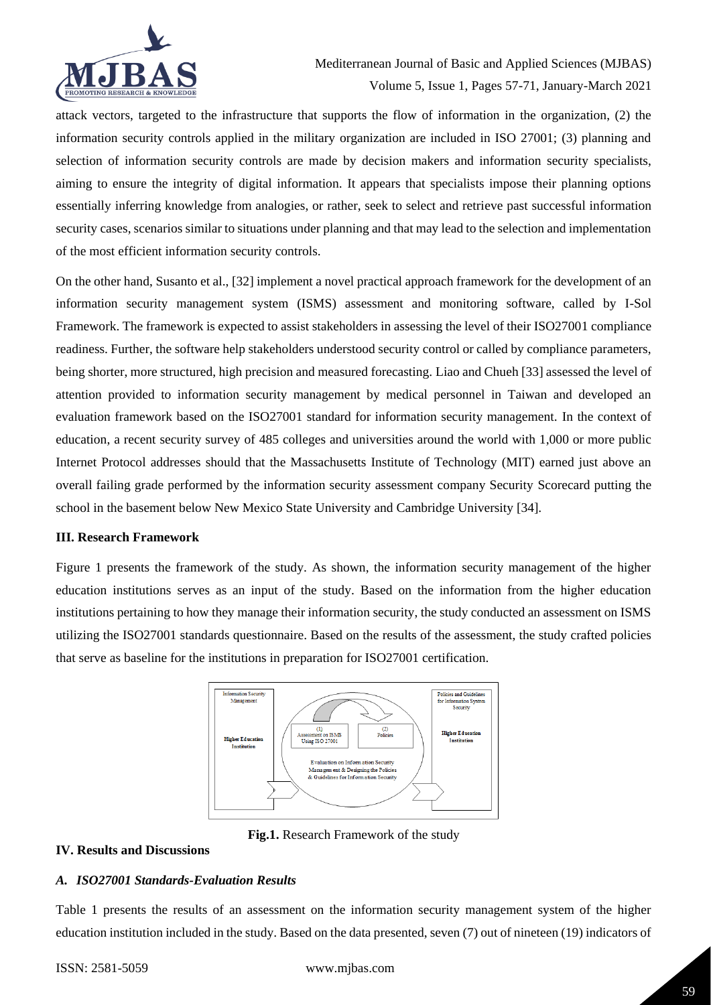

attack vectors, targeted to the infrastructure that supports the flow of information in the organization, (2) the information security controls applied in the military organization are included in ISO 27001; (3) planning and selection of information security controls are made by decision makers and information security specialists, aiming to ensure the integrity of digital information. It appears that specialists impose their planning options essentially inferring knowledge from analogies, or rather, seek to select and retrieve past successful information security cases, scenarios similar to situations under planning and that may lead to the selection and implementation of the most efficient information security controls.

On the other hand, Susanto et al., [32] implement a novel practical approach framework for the development of an information security management system (ISMS) assessment and monitoring software, called by I-Sol Framework. The framework is expected to assist stakeholders in assessing the level of their ISO27001 compliance readiness. Further, the software help stakeholders understood security control or called by compliance parameters, being shorter, more structured, high precision and measured forecasting. Liao and Chueh [33] assessed the level of attention provided to information security management by medical personnel in Taiwan and developed an evaluation framework based on the ISO27001 standard for information security management. In the context of education, a recent security survey of 485 colleges and universities around the world with 1,000 or more public Internet Protocol addresses should that the Massachusetts Institute of Technology (MIT) earned just above an overall failing grade performed by the information security assessment company Security Scorecard putting the school in the basement below New Mexico State University and Cambridge University [34].

#### **III. Research Framework**

Figure 1 presents the framework of the study. As shown, the information security management of the higher education institutions serves as an input of the study. Based on the information from the higher education institutions pertaining to how they manage their information security, the study conducted an assessment on ISMS utilizing the ISO27001 standards questionnaire. Based on the results of the assessment, the study crafted policies that serve as baseline for the institutions in preparation for ISO27001 certification.



**Fig.1.** Research Framework of the study

#### **IV. Results and Discussions**

# *A. ISO27001 Standards-Evaluation Results*

Table 1 presents the results of an assessment on the information security management system of the higher education institution included in the study. Based on the data presented, seven (7) out of nineteen (19) indicators of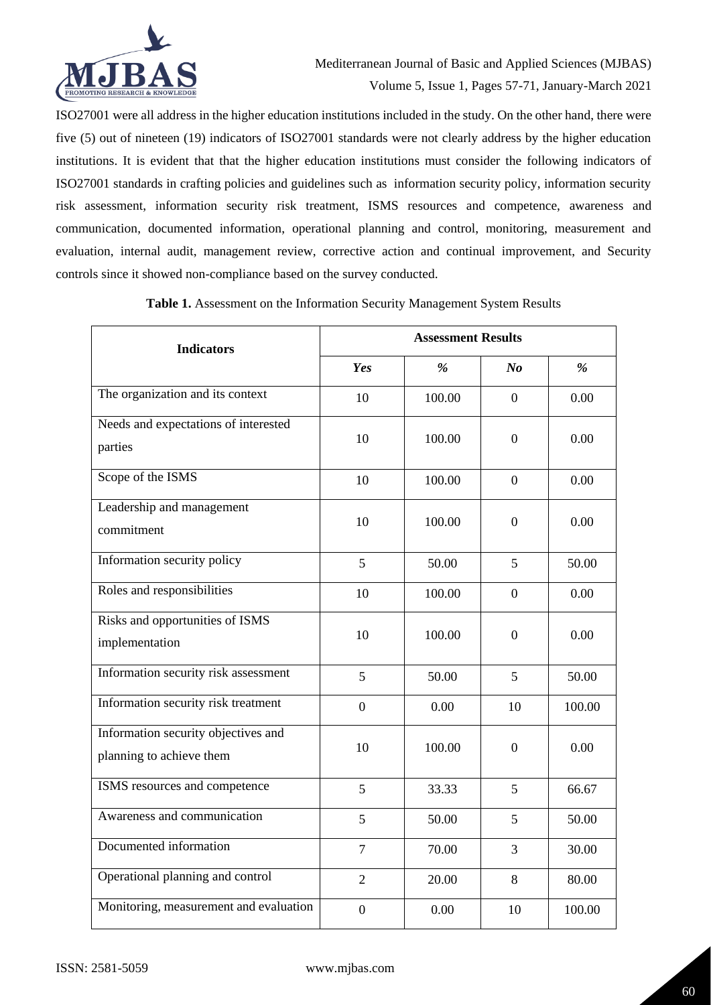

ISO27001 were all address in the higher education institutions included in the study. On the other hand, there were five (5) out of nineteen (19) indicators of ISO27001 standards were not clearly address by the higher education institutions. It is evident that that the higher education institutions must consider the following indicators of ISO27001 standards in crafting policies and guidelines such as information security policy, information security risk assessment, information security risk treatment, ISMS resources and competence, awareness and communication, documented information, operational planning and control, monitoring, measurement and evaluation, internal audit, management review, corrective action and continual improvement, and Security controls since it showed non-compliance based on the survey conducted.

| <b>Indicators</b>                                               | <b>Assessment Results</b> |        |                  |        |
|-----------------------------------------------------------------|---------------------------|--------|------------------|--------|
|                                                                 | Yes                       | $\%$   | N <sub>o</sub>   | %      |
| The organization and its context                                | 10                        | 100.00 | $\overline{0}$   | 0.00   |
| Needs and expectations of interested<br>parties                 | 10                        | 100.00 | $\boldsymbol{0}$ | 0.00   |
| Scope of the ISMS                                               | 10                        | 100.00 | $\overline{0}$   | 0.00   |
| Leadership and management<br>commitment                         | 10                        | 100.00 | $\boldsymbol{0}$ | 0.00   |
| Information security policy                                     | 5                         | 50.00  | 5                | 50.00  |
| Roles and responsibilities                                      | 10                        | 100.00 | $\Omega$         | 0.00   |
| Risks and opportunities of ISMS<br>implementation               | 10                        | 100.00 | $\boldsymbol{0}$ | 0.00   |
| Information security risk assessment                            | 5                         | 50.00  | 5                | 50.00  |
| Information security risk treatment                             | $\boldsymbol{0}$          | 0.00   | 10               | 100.00 |
| Information security objectives and<br>planning to achieve them | 10                        | 100.00 | $\boldsymbol{0}$ | 0.00   |
| ISMS resources and competence                                   | 5                         | 33.33  | 5                | 66.67  |
| Awareness and communication                                     | 5                         | 50.00  | 5                | 50.00  |
| Documented information                                          | $\overline{7}$            | 70.00  | 3                | 30.00  |
| Operational planning and control                                | $\overline{2}$            | 20.00  | 8                | 80.00  |
| Monitoring, measurement and evaluation                          | $\overline{0}$            | 0.00   | 10               | 100.00 |

**Table 1.** Assessment on the Information Security Management System Results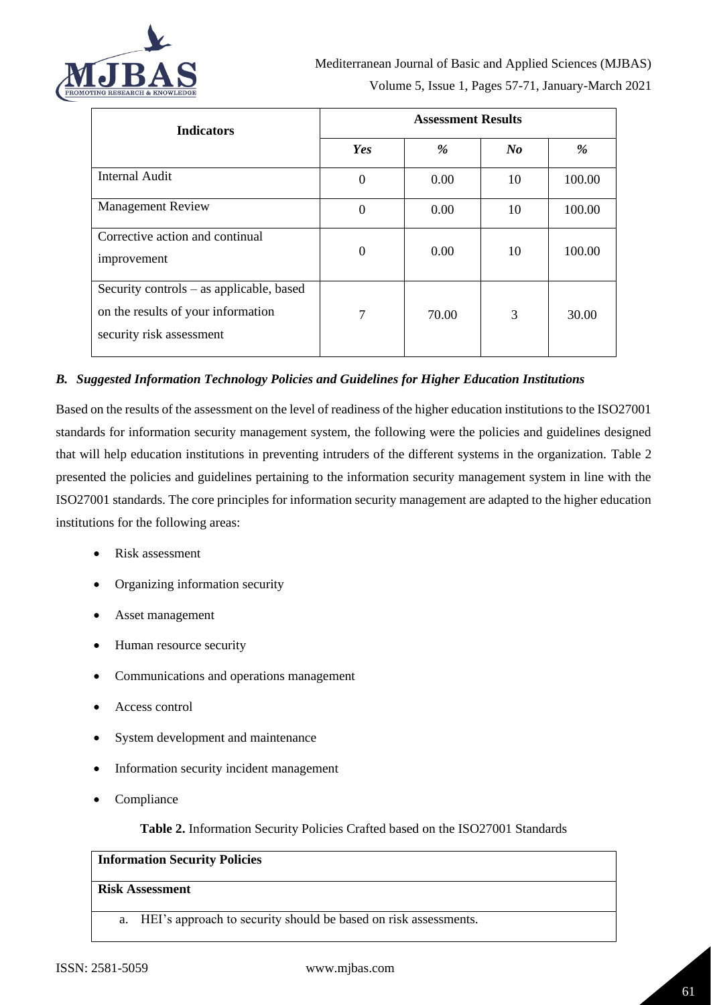

| <b>Indicators</b>                                                                                          | <b>Assessment Results</b> |       |         |        |
|------------------------------------------------------------------------------------------------------------|---------------------------|-------|---------|--------|
|                                                                                                            | Yes                       | %     | $N_{0}$ | %      |
| <b>Internal Audit</b>                                                                                      | $\boldsymbol{0}$          | 0.00  | 10      | 100.00 |
| <b>Management Review</b>                                                                                   | $\boldsymbol{0}$          | 0.00  | 10      | 100.00 |
| Corrective action and continual<br>improvement                                                             | $\boldsymbol{0}$          | 0.00  | 10      | 100.00 |
| Security controls – as applicable, based<br>on the results of your information<br>security risk assessment | 7                         | 70.00 | 3       | 30.00  |

### *B. Suggested Information Technology Policies and Guidelines for Higher Education Institutions*

Based on the results of the assessment on the level of readiness of the higher education institutions to the ISO27001 standards for information security management system, the following were the policies and guidelines designed that will help education institutions in preventing intruders of the different systems in the organization. Table 2 presented the policies and guidelines pertaining to the information security management system in line with the ISO27001 standards. The core principles for information security management are adapted to the higher education institutions for the following areas:

- Risk assessment
- Organizing information security
- Asset management
- Human resource security
- Communications and operations management
- Access control
- System development and maintenance
- Information security incident management
- Compliance

**Table 2.** Information Security Policies Crafted based on the ISO27001 Standards

## **Information Security Policies**

#### **Risk Assessment**

a. HEI's approach to security should be based on risk assessments.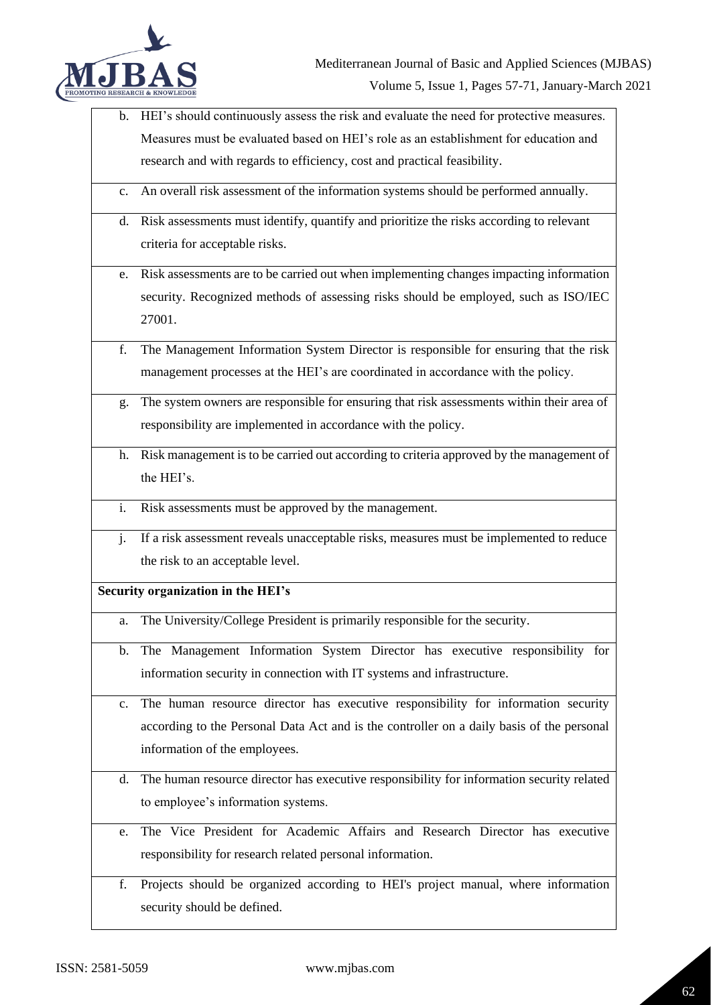

b. HEI's should continuously assess the risk and evaluate the need for protective measures. Measures must be evaluated based on HEI's role as an establishment for education and research and with regards to efficiency, cost and practical feasibility.

c. An overall risk assessment of the information systems should be performed annually.

- d. Risk assessments must identify, quantify and prioritize the risks according to relevant criteria for acceptable risks.
- e. Risk assessments are to be carried out when implementing changes impacting information security. Recognized methods of assessing risks should be employed, such as ISO/IEC 27001.
- f. The Management Information System Director is responsible for ensuring that the risk management processes at the HEI's are coordinated in accordance with the policy.
- g. The system owners are responsible for ensuring that risk assessments within their area of responsibility are implemented in accordance with the policy.
- h. Risk management is to be carried out according to criteria approved by the management of the HEI's.
- i. Risk assessments must be approved by the management.
- j. If a risk assessment reveals unacceptable risks, measures must be implemented to reduce the risk to an acceptable level.

## **Security organization in the HEI's**

- a. The University/College President is primarily responsible for the security.
- b. The Management Information System Director has executive responsibility for information security in connection with IT systems and infrastructure.
- c. The human resource director has executive responsibility for information security according to the Personal Data Act and is the controller on a daily basis of the personal information of the employees.
- d. The human resource director has executive responsibility for information security related to employee's information systems.
- e. The Vice President for Academic Affairs and Research Director has executive responsibility for research related personal information.
- f. Projects should be organized according to HEI's project manual, where information security should be defined.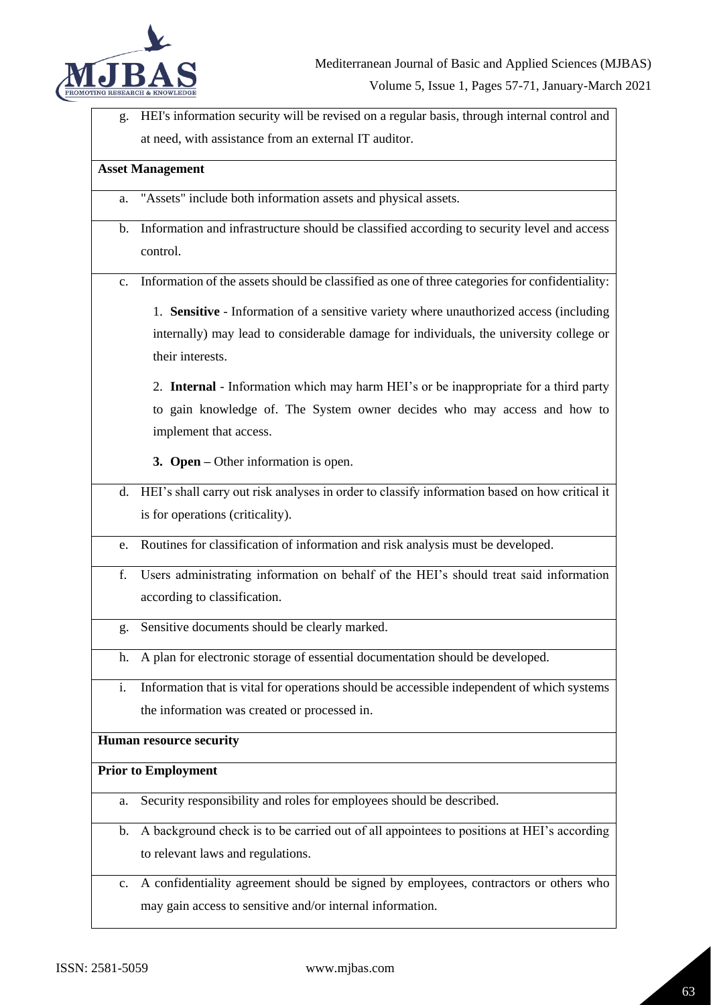

g. HEI's information security will be revised on a regular basis, through internal control and at need, with assistance from an external IT auditor.

## **Asset Management**

- a. "Assets" include both information assets and physical assets.
- b. Information and infrastructure should be classified according to security level and access control.
- c. Information of the assets should be classified as one of three categories for confidentiality:

1. **Sensitive** - Information of a sensitive variety where unauthorized access (including internally) may lead to considerable damage for individuals, the university college or their interests.

2. **Internal** - Information which may harm HEI's or be inappropriate for a third party to gain knowledge of. The System owner decides who may access and how to implement that access.

**3. Open –** Other information is open.

- d. HEI's shall carry out risk analyses in order to classify information based on how critical it is for operations (criticality).
- e. Routines for classification of information and risk analysis must be developed.
- f. Users administrating information on behalf of the HEI's should treat said information according to classification.
- g. Sensitive documents should be clearly marked.
- h. A plan for electronic storage of essential documentation should be developed.
- i. Information that is vital for operations should be accessible independent of which systems the information was created or processed in.

#### **Human resource security**

#### **Prior to Employment**

- a. Security responsibility and roles for employees should be described.
- b. A background check is to be carried out of all appointees to positions at HEI's according to relevant laws and regulations.
- c. A confidentiality agreement should be signed by employees, contractors or others who may gain access to sensitive and/or internal information.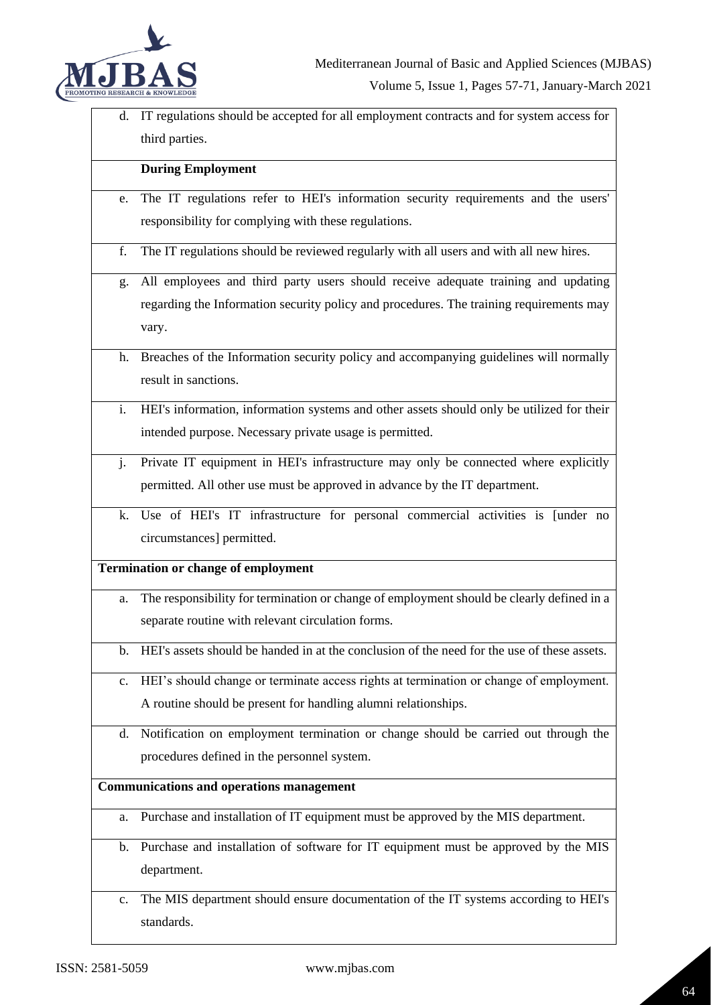

d. IT regulations should be accepted for all employment contracts and for system access for third parties.

# **During Employment**

- e. The IT regulations refer to HEI's information security requirements and the users' responsibility for complying with these regulations.
- f. The IT regulations should be reviewed regularly with all users and with all new hires.
- g. All employees and third party users should receive adequate training and updating regarding the Information security policy and procedures. The training requirements may vary.
- h. Breaches of the Information security policy and accompanying guidelines will normally result in sanctions.
- i. HEI's information, information systems and other assets should only be utilized for their intended purpose. Necessary private usage is permitted.
- j. Private IT equipment in HEI's infrastructure may only be connected where explicitly permitted. All other use must be approved in advance by the IT department.
- k. Use of HEI's IT infrastructure for personal commercial activities is [under no circumstances] permitted.

#### **Termination or change of employment**

- a. The responsibility for termination or change of employment should be clearly defined in a separate routine with relevant circulation forms.
- b. HEI's assets should be handed in at the conclusion of the need for the use of these assets.
- c. HEI's should change or terminate access rights at termination or change of employment. A routine should be present for handling alumni relationships.
- d. Notification on employment termination or change should be carried out through the procedures defined in the personnel system.

#### **Communications and operations management**

- a. Purchase and installation of IT equipment must be approved by the MIS department.
- b. Purchase and installation of software for IT equipment must be approved by the MIS department.
- c. The MIS department should ensure documentation of the IT systems according to HEI's standards.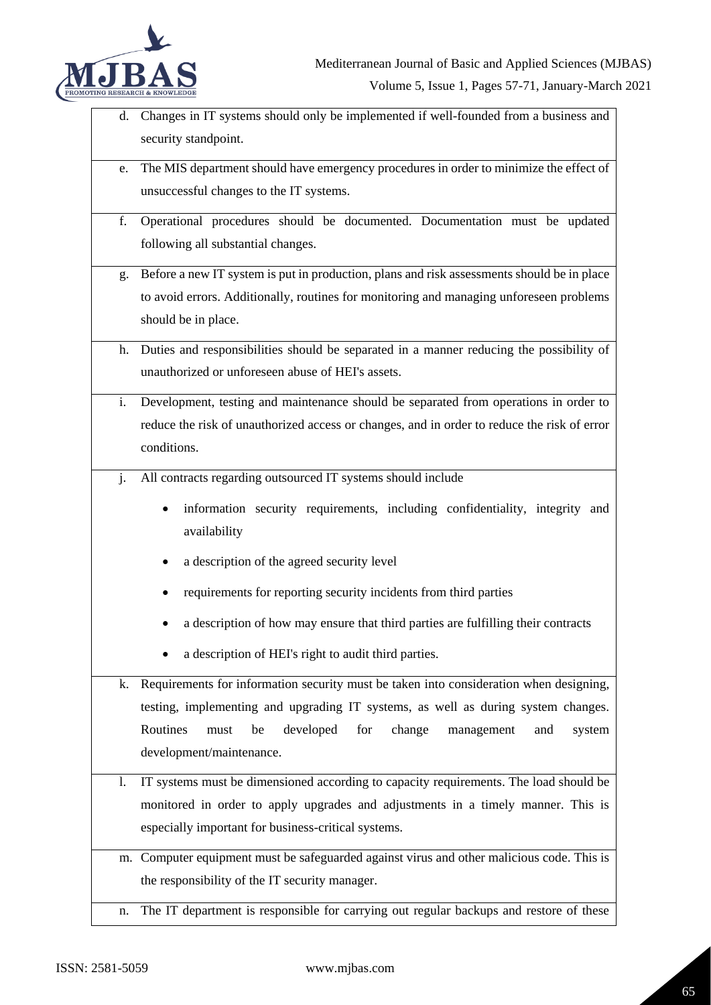

- d. Changes in IT systems should only be implemented if well-founded from a business and security standpoint.
- e. The MIS department should have emergency procedures in order to minimize the effect of unsuccessful changes to the IT systems.
- f. Operational procedures should be documented. Documentation must be updated following all substantial changes.
- g. Before a new IT system is put in production, plans and risk assessments should be in place to avoid errors. Additionally, routines for monitoring and managing unforeseen problems should be in place.
- h. Duties and responsibilities should be separated in a manner reducing the possibility of unauthorized or unforeseen abuse of HEI's assets.
- i. Development, testing and maintenance should be separated from operations in order to reduce the risk of unauthorized access or changes, and in order to reduce the risk of error conditions.
- j. All contracts regarding outsourced IT systems should include
	- information security requirements, including confidentiality, integrity and availability
	- a description of the agreed security level
	- requirements for reporting security incidents from third parties
	- a description of how may ensure that third parties are fulfilling their contracts
	- a description of HEI's right to audit third parties.

k. Requirements for information security must be taken into consideration when designing, testing, implementing and upgrading IT systems, as well as during system changes. Routines must be developed for change management and system development/maintenance.

- l. IT systems must be dimensioned according to capacity requirements. The load should be monitored in order to apply upgrades and adjustments in a timely manner. This is especially important for business-critical systems.
- m. Computer equipment must be safeguarded against virus and other malicious code. This is the responsibility of the IT security manager.
- n. The IT department is responsible for carrying out regular backups and restore of these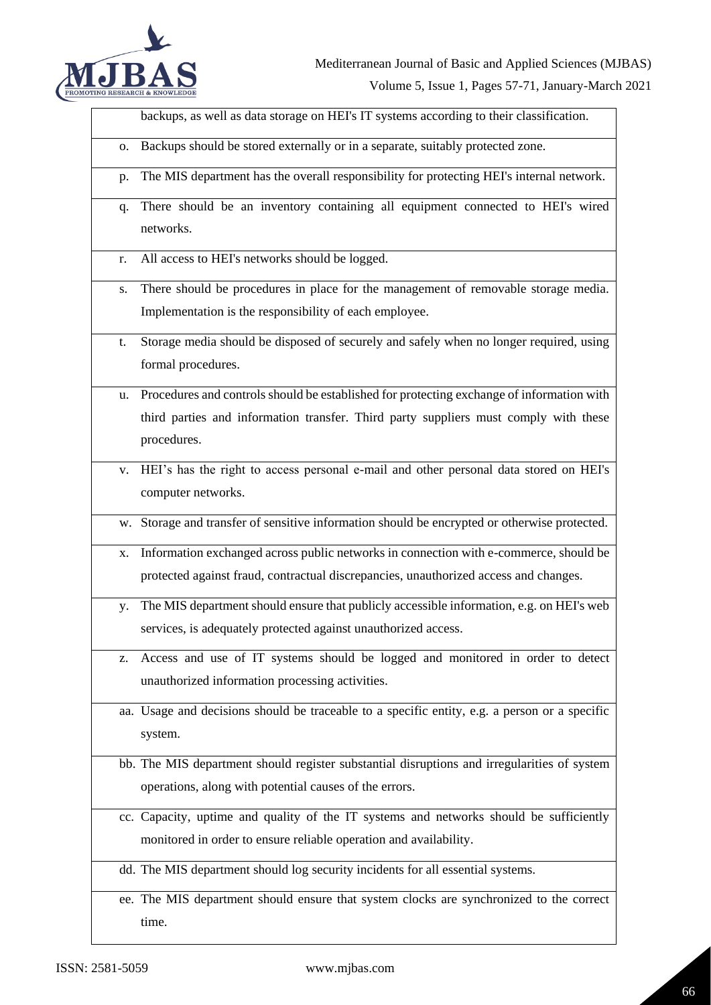

backups, as well as data storage on HEI's IT systems according to their classification.

- o. Backups should be stored externally or in a separate, suitably protected zone.
- p. The MIS department has the overall responsibility for protecting HEI's internal network.
- q. There should be an inventory containing all equipment connected to HEI's wired networks.
- r. All access to HEI's networks should be logged.
- s. There should be procedures in place for the management of removable storage media. Implementation is the responsibility of each employee.
- t. Storage media should be disposed of securely and safely when no longer required, using formal procedures.
- Procedures and controls should be established for protecting exchange of information with third parties and information transfer. Third party suppliers must comply with these procedures.
- v. HEI's has the right to access personal e-mail and other personal data stored on HEI's computer networks.
- w. Storage and transfer of sensitive information should be encrypted or otherwise protected.
- x. Information exchanged across public networks in connection with e-commerce, should be protected against fraud, contractual discrepancies, unauthorized access and changes.
- y. The MIS department should ensure that publicly accessible information, e.g. on HEI's web services, is adequately protected against unauthorized access.
- z. Access and use of IT systems should be logged and monitored in order to detect unauthorized information processing activities.
- aa. Usage and decisions should be traceable to a specific entity, e.g. a person or a specific system.
- bb. The MIS department should register substantial disruptions and irregularities of system operations, along with potential causes of the errors.
- cc. Capacity, uptime and quality of the IT systems and networks should be sufficiently monitored in order to ensure reliable operation and availability.

dd. The MIS department should log security incidents for all essential systems.

ee. The MIS department should ensure that system clocks are synchronized to the correct time.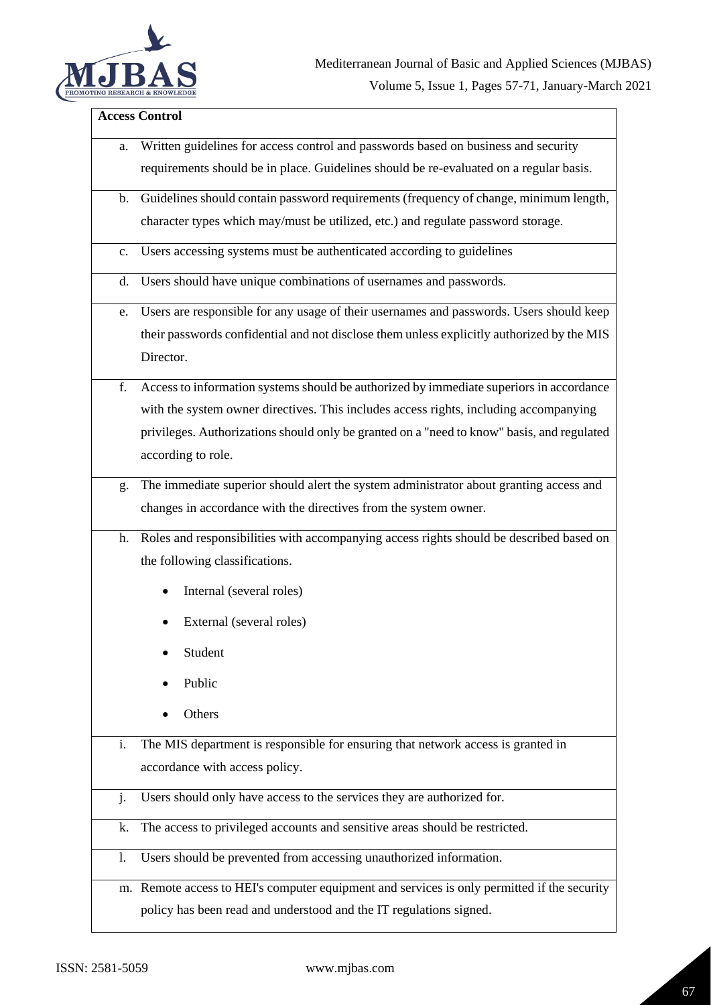

# **Access Control**

| a.             | Written guidelines for access control and passwords based on business and security          |
|----------------|---------------------------------------------------------------------------------------------|
|                | requirements should be in place. Guidelines should be re-evaluated on a regular basis.      |
| b.             | Guidelines should contain password requirements (frequency of change, minimum length,       |
|                | character types which may/must be utilized, etc.) and regulate password storage.            |
| $\mathbf{c}$ . | Users accessing systems must be authenticated according to guidelines                       |
| d.             | Users should have unique combinations of usernames and passwords.                           |
| e.             | Users are responsible for any usage of their usernames and passwords. Users should keep     |
|                | their passwords confidential and not disclose them unless explicitly authorized by the MIS  |
|                | Director.                                                                                   |
| f.             | Access to information systems should be authorized by immediate superiors in accordance     |
|                | with the system owner directives. This includes access rights, including accompanying       |
|                | privileges. Authorizations should only be granted on a "need to know" basis, and regulated  |
|                | according to role.                                                                          |
| g.             | The immediate superior should alert the system administrator about granting access and      |
|                | changes in accordance with the directives from the system owner.                            |
| h.             | Roles and responsibilities with accompanying access rights should be described based on     |
|                | the following classifications.                                                              |
|                | Internal (several roles)<br>$\bullet$                                                       |
|                | External (several roles)                                                                    |
|                | Student                                                                                     |
|                | Public                                                                                      |
|                | Others                                                                                      |
| i.             | The MIS department is responsible for ensuring that network access is granted in            |
|                | accordance with access policy.                                                              |
| j.             | Users should only have access to the services they are authorized for.                      |
| k.             | The access to privileged accounts and sensitive areas should be restricted.                 |
| 1.             | Users should be prevented from accessing unauthorized information.                          |
|                |                                                                                             |
|                | m. Remote access to HEI's computer equipment and services is only permitted if the security |
|                | policy has been read and understood and the IT regulations signed.                          |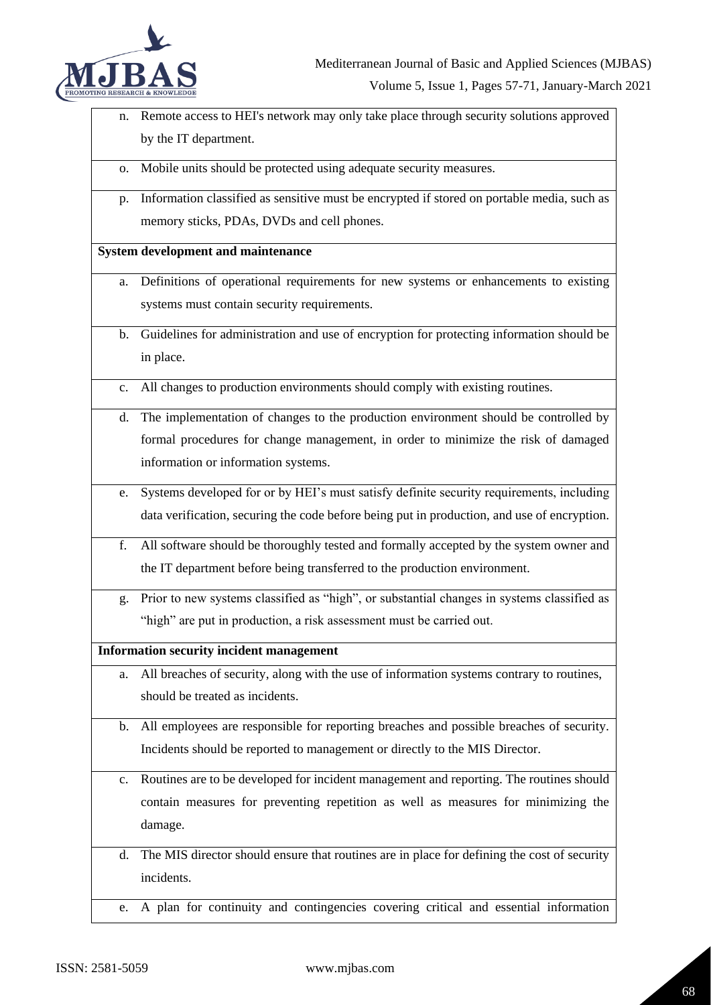

- n. Remote access to HEI's network may only take place through security solutions approved by the IT department.
- o. Mobile units should be protected using adequate security measures.
- p. Information classified as sensitive must be encrypted if stored on portable media, such as memory sticks, PDAs, DVDs and cell phones.

#### **System development and maintenance**

- a. Definitions of operational requirements for new systems or enhancements to existing systems must contain security requirements.
- b. Guidelines for administration and use of encryption for protecting information should be in place.
- c. All changes to production environments should comply with existing routines.
- d. The implementation of changes to the production environment should be controlled by formal procedures for change management, in order to minimize the risk of damaged information or information systems.
- e. Systems developed for or by HEI's must satisfy definite security requirements, including data verification, securing the code before being put in production, and use of encryption.
- f. All software should be thoroughly tested and formally accepted by the system owner and the IT department before being transferred to the production environment.
- g. Prior to new systems classified as "high", or substantial changes in systems classified as "high" are put in production, a risk assessment must be carried out.

**Information security incident management**

- a. All breaches of security, along with the use of information systems contrary to routines, should be treated as incidents.
- b. All employees are responsible for reporting breaches and possible breaches of security. Incidents should be reported to management or directly to the MIS Director.
- c. Routines are to be developed for incident management and reporting. The routines should contain measures for preventing repetition as well as measures for minimizing the damage.
- d. The MIS director should ensure that routines are in place for defining the cost of security incidents.
- e. A plan for continuity and contingencies covering critical and essential information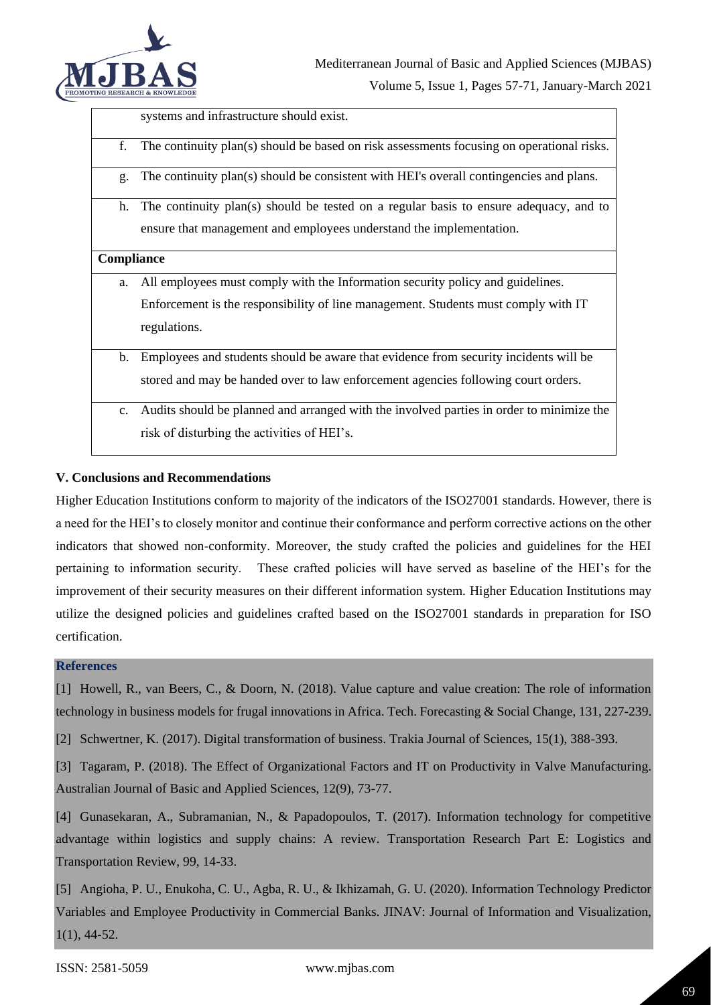

systems and infrastructure should exist.

- f. The continuity plan(s) should be based on risk assessments focusing on operational risks.
- g. The continuity plan(s) should be consistent with HEI's overall contingencies and plans.
- h. The continuity plan(s) should be tested on a regular basis to ensure adequacy, and to ensure that management and employees understand the implementation.

#### **Compliance**

- a. All employees must comply with the Information security policy and guidelines. Enforcement is the responsibility of line management. Students must comply with IT regulations.
- b. Employees and students should be aware that evidence from security incidents will be stored and may be handed over to law enforcement agencies following court orders.
- c. Audits should be planned and arranged with the involved parties in order to minimize the risk of disturbing the activities of HEI's.

#### **V. Conclusions and Recommendations**

Higher Education Institutions conform to majority of the indicators of the ISO27001 standards. However, there is a need for the HEI's to closely monitor and continue their conformance and perform corrective actions on the other indicators that showed non-conformity. Moreover, the study crafted the policies and guidelines for the HEI pertaining to information security. These crafted policies will have served as baseline of the HEI's for the improvement of their security measures on their different information system. Higher Education Institutions may utilize the designed policies and guidelines crafted based on the ISO27001 standards in preparation for ISO certification.

#### **References**

[1] Howell, R., van Beers, C., & Doorn, N. (2018). Value capture and value creation: The role of information technology in business models for frugal innovations in Africa. Tech. Forecasting & Social Change, 131, 227-239.

[2] Schwertner, K. (2017). Digital transformation of business. Trakia Journal of Sciences, 15(1), 388-393.

[3] Tagaram, P. (2018). The Effect of Organizational Factors and IT on Productivity in Valve Manufacturing. Australian Journal of Basic and Applied Sciences, 12(9), 73-77.

[4] Gunasekaran, A., Subramanian, N., & Papadopoulos, T. (2017). Information technology for competitive advantage within logistics and supply chains: A review. Transportation Research Part E: Logistics and Transportation Review, 99, 14-33.

[5] Angioha, P. U., Enukoha, C. U., Agba, R. U., & Ikhizamah, G. U. (2020). Information Technology Predictor Variables and Employee Productivity in Commercial Banks. JINAV: Journal of Information and Visualization, 1(1), 44-52.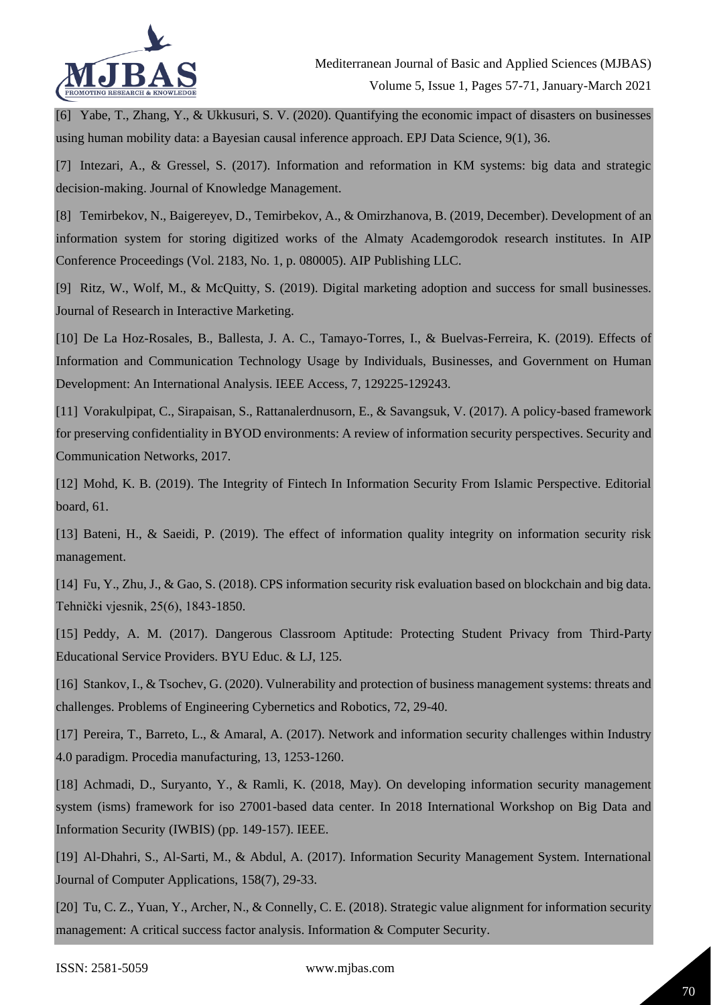

[6] Yabe, T., Zhang, Y., & Ukkusuri, S. V. (2020). Quantifying the economic impact of disasters on businesses using human mobility data: a Bayesian causal inference approach. EPJ Data Science, 9(1), 36.

[7] Intezari, A., & Gressel, S. (2017). Information and reformation in KM systems: big data and strategic decision-making. Journal of Knowledge Management.

[8] Temirbekov, N., Baigereyev, D., Temirbekov, A., & Omirzhanova, B. (2019, December). Development of an information system for storing digitized works of the Almaty Academgorodok research institutes. In AIP Conference Proceedings (Vol. 2183, No. 1, p. 080005). AIP Publishing LLC.

[9] Ritz, W., Wolf, M., & McQuitty, S. (2019). Digital marketing adoption and success for small businesses. Journal of Research in Interactive Marketing.

[10] De La Hoz-Rosales, B., Ballesta, J. A. C., Tamayo-Torres, I., & Buelvas-Ferreira, K. (2019). Effects of Information and Communication Technology Usage by Individuals, Businesses, and Government on Human Development: An International Analysis. IEEE Access, 7, 129225-129243.

[11] Vorakulpipat, C., Sirapaisan, S., Rattanalerdnusorn, E., & Savangsuk, V. (2017). A policy-based framework for preserving confidentiality in BYOD environments: A review of information security perspectives. Security and Communication Networks, 2017.

[12] Mohd, K. B. (2019). The Integrity of Fintech In Information Security From Islamic Perspective. Editorial board, 61.

[13] Bateni, H., & Saeidi, P. (2019). The effect of information quality integrity on information security risk management.

[14] Fu, Y., Zhu, J., & Gao, S. (2018). CPS information security risk evaluation based on blockchain and big data. Tehnički vjesnik, 25(6), 1843-1850.

[15] Peddy, A. M. (2017). Dangerous Classroom Aptitude: Protecting Student Privacy from Third-Party Educational Service Providers. BYU Educ. & LJ, 125.

[16] Stankov, I., & Tsochev, G. (2020). Vulnerability and protection of business management systems: threats and challenges. Problems of Engineering Cybernetics and Robotics, 72, 29-40.

[17] Pereira, T., Barreto, L., & Amaral, A. (2017). Network and information security challenges within Industry 4.0 paradigm. Procedia manufacturing, 13, 1253-1260.

[18] Achmadi, D., Suryanto, Y., & Ramli, K. (2018, May). On developing information security management system (isms) framework for iso 27001-based data center. In 2018 International Workshop on Big Data and Information Security (IWBIS) (pp. 149-157). IEEE.

[19] Al-Dhahri, S., Al-Sarti, M., & Abdul, A. (2017). Information Security Management System. International Journal of Computer Applications, 158(7), 29-33.

[20] Tu, C. Z., Yuan, Y., Archer, N., & Connelly, C. E. (2018). Strategic value alignment for information security management: A critical success factor analysis. Information & Computer Security.